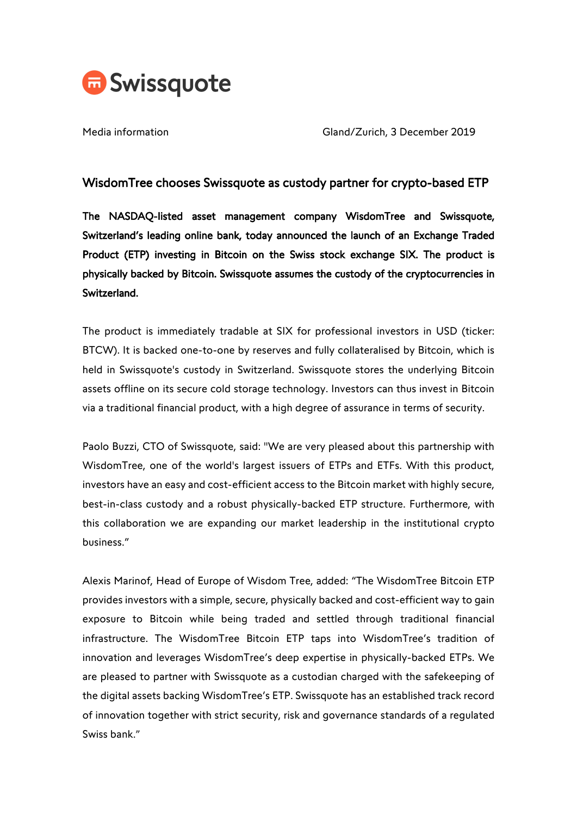

Media information Gland/Zurich, 3 December 2019

## WisdomTree chooses Swissquote as custody partner for crypto-based ETP

The NASDAQ-listed asset management company WisdomTree and Swissquote, Switzerland's leading online bank, today announced the launch of an Exchange Traded Product (ETP) investing in Bitcoin on the Swiss stock exchange SIX. The product is physically backed by Bitcoin. Swissquote assumes the custody of the cryptocurrencies in Switzerland.

The product is immediately tradable at SIX for professional investors in USD (ticker: BTCW). It is backed one-to-one by reserves and fully collateralised by Bitcoin, which is held in Swissquote's custody in Switzerland. Swissquote stores the underlying Bitcoin assets offline on its secure cold storage technology. Investors can thus invest in Bitcoin via a traditional financial product, with a high degree of assurance in terms of security.

Paolo Buzzi, CTO of Swissquote, said: "We are very pleased about this partnership with WisdomTree, one of the world's largest issuers of ETPs and ETFs. With this product, investors have an easy and cost-efficient access to the Bitcoin market with highly secure, best-in-class custody and a robust physically-backed ETP structure. Furthermore, with this collaboration we are expanding our market leadership in the institutional crypto business."

Alexis Marinof, Head of Europe of Wisdom Tree, added: "The WisdomTree Bitcoin ETP provides investors with a simple, secure, physically backed and cost-efficient way to gain exposure to Bitcoin while being traded and settled through traditional financial infrastructure. The WisdomTree Bitcoin ETP taps into WisdomTree's tradition of innovation and leverages WisdomTree's deep expertise in physically-backed ETPs. We are pleased to partner with Swissquote as a custodian charged with the safekeeping of the digital assets backing WisdomTree's ETP. Swissquote has an established track record of innovation together with strict security, risk and governance standards of a regulated Swiss bank."